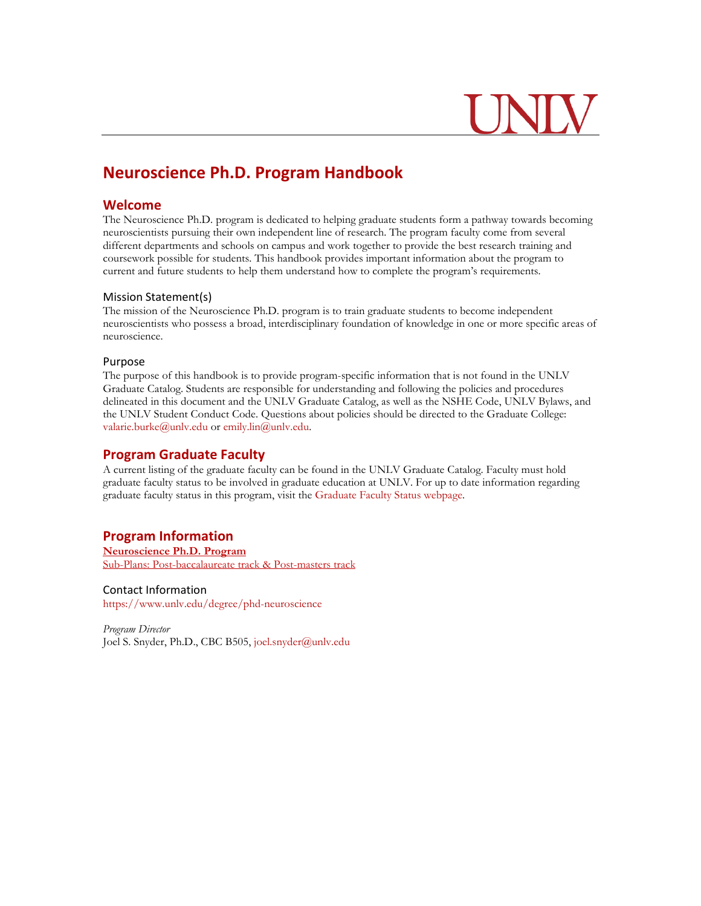# **Neuroscience Ph.D. Program Handbook**

## **Welcome**

The Neuroscience Ph.D. program is dedicated to helping graduate students form a pathway towards becoming neuroscientists pursuing their own independent line of research. The program faculty come from several different departments and schools on campus and work together to provide the best research training and coursework possible for students. This handbook provides important information about the program to current and future students to help them understand how to complete the program's requirements.

#### Mission Statement(s)

The mission of the Neuroscience Ph.D. program is to train graduate students to become independent neuroscientists who possess a broad, interdisciplinary foundation of knowledge in one or more specific areas of neuroscience.

#### Purpose

The purpose of this handbook is to provide program-specific information that is not found in the UNLV Graduate Catalog. Students are responsible for understanding and following the policies and procedures delineated in this document and the UNLV Graduate Catalog, as well as the NSHE Code, UNLV Bylaws, and the UNLV Student Conduct Code. Questions about policies should be directed to the Graduate College: [valarie.burke@unlv.edu o](mailto:valarie.burke@unlv.edu)r [emily.lin@unlv.edu.](mailto:emily.lin@unlv.edu)

## **Program Graduate Faculty**

A current listing of the graduate faculty can be found in the UNLV Graduate Catalog. Faculty must hold graduate faculty status to be involved in graduate education at UNLV. For up to date information regarding graduate faculty status in this program, visit the [Graduate Faculty Status webpage.](https://www.unlv.edu/graduatecollege/graduate-faculty-status)

## **Program Information**

**[Neuroscience Ph.D. Program](https://catalog.unlv.edu/preview_program.php?catoid=34&poid=10130)** [Sub-Plans: Post-baccalaureate track & Post-masters track](https://catalog.unlv.edu/preview_program.php?catoid=34&poid=10130)

### Contact Information

<https://www.unlv.edu/degree/phd-neuroscience>

*Program Director* Joel S. Snyder, Ph.D., CBC B505, [joel.snyder@unlv.edu](mailto:joel.snyder@unlv.edu)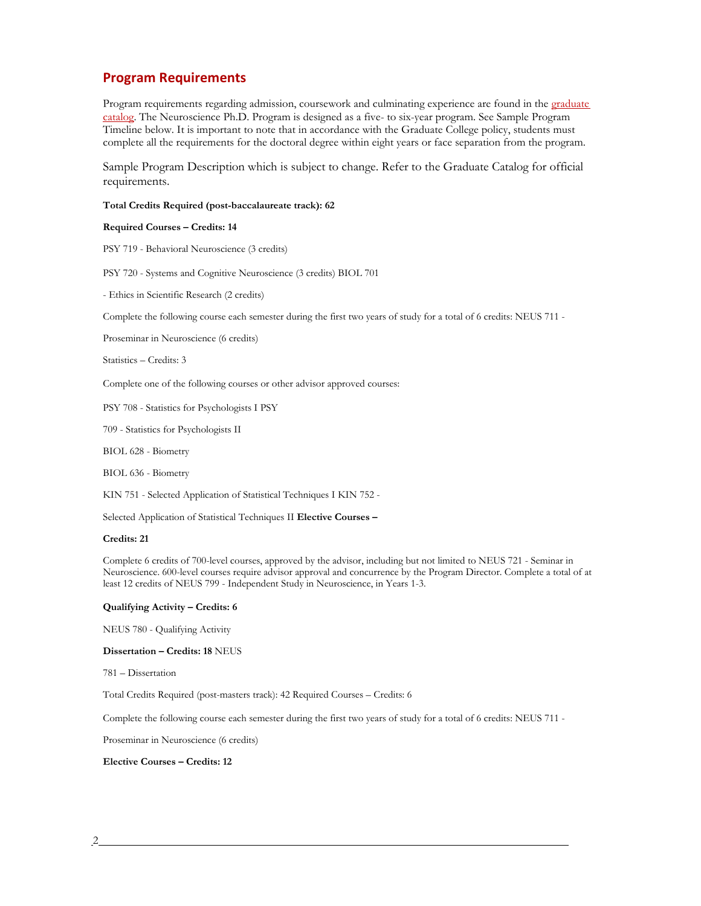## **Program Requirements**

Program requirements regarding [admission, coursework and culminating experience a](http://catalog.unlv.edu/preview_program.php?catoid=12&poid=2312)re found in the graduate [catalog.](https://www.unlv.edu/graduatecollege/graduatecatalog) The Neuroscience Ph.D. Program is designed as a five- to six-year program. See Sample Program Timeline below. It is important to note that in accordance with the Graduate College policy, students must complete all the requirements for the doctoral degree within eight years or face separation from the program.

Sample Program Description which is subject to change. Refer to the Graduate Catalog for official requirements.

#### **Total Credits Required (post-baccalaureate track): 62**

#### **Required Courses – Credits: 14**

PSY 719 - Behavioral Neuroscience (3 credits)

PSY 720 - Systems and Cognitive Neuroscience (3 credits) BIOL 701

- Ethics in Scientific Research (2 credits)

Complete the following course each semester during the first two years of study for a total of 6 credits: NEUS 711 -

Proseminar in Neuroscience (6 credits)

Statistics – Credits: 3

Complete one of the following courses or other advisor approved courses:

PSY 708 - Statistics for Psychologists I PSY

709 - Statistics for Psychologists II

BIOL 628 - Biometry

BIOL 636 - Biometry

KIN 751 - Selected Application of Statistical Techniques I KIN 752 -

Selected Application of Statistical Techniques II **Elective Courses –**

#### **Credits: 21**

Complete 6 credits of 700-level courses, approved by the advisor, including but not limited to NEUS 721 - Seminar in Neuroscience. 600-level courses require advisor approval and concurrence by the Program Director. Complete a total of at least 12 credits of NEUS 799 - Independent Study in Neuroscience, in Years 1-3.

#### **Qualifying Activity – Credits: 6**

NEUS 780 - Qualifying Activity

**Dissertation – Credits: 18** NEUS

781 – Dissertation

Total Credits Required (post-masters track): 42 Required Courses – Credits: 6

Complete the following course each semester during the first two years of study for a total of 6 credits: NEUS 711 -

Proseminar in Neuroscience (6 credits)

#### **Elective Courses – Credits: 12**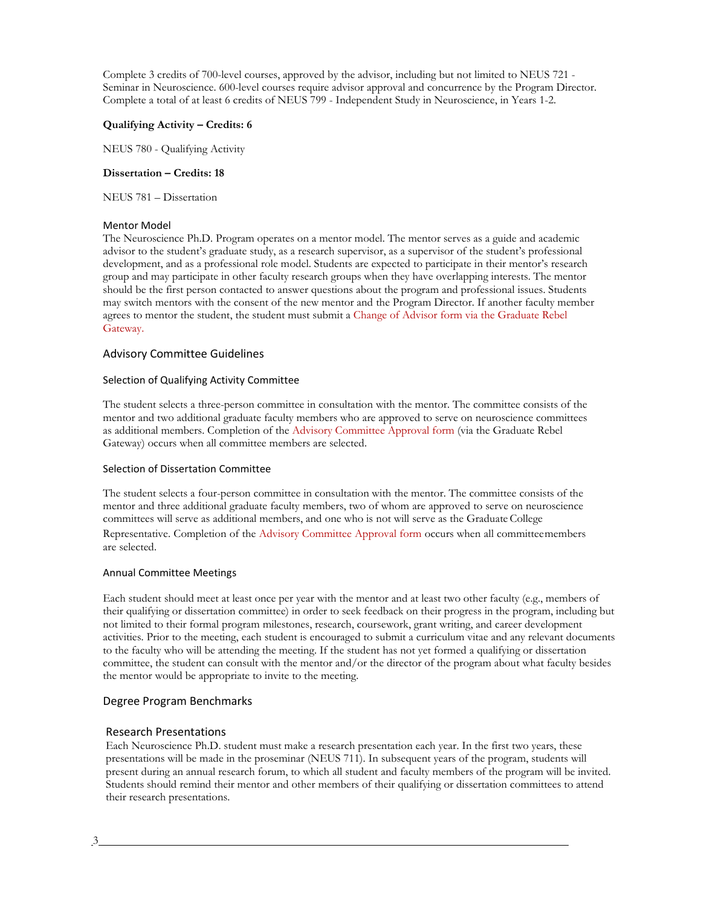Complete 3 credits of 700-level courses, approved by the advisor, including but not limited to NEUS 721 - Seminar in Neuroscience. 600-level courses require advisor approval and concurrence by the Program Director. Complete a total of at least 6 credits of NEUS 799 - Independent Study in Neuroscience, in Years 1-2.

#### **Qualifying Activity – Credits: 6**

NEUS 780 - Qualifying Activity

#### **Dissertation – Credits: 18**

NEUS 781 – Dissertation

#### Mentor Model

The Neuroscience Ph.D. Program operates on a mentor model. The mentor serves as a guide and academic advisor to the student's graduate study, as a research supervisor, as a supervisor of the student's professional development, and as a professional role model. Students are expected to participate in their mentor's research group and may participate in other faculty research groups when they have overlapping interests. The mentor should be the first person contacted to answer questions about the program and professional issues. Students may switch mentors with the consent of the new mentor and the Program Director. If another faculty member agrees to mentor the student, the student must submit a [Change of Advisor form via the Graduate Rebel](https://unlv-gradcollege.force.com/GradRebelGateway/ERx_Forms__Portal_Login) [Gateway.](https://unlv-gradcollege.force.com/GradRebelGateway/ERx_Forms__Portal_Login)

#### Advisory Committee Guidelines

#### Selection of Qualifying Activity Committee

The student selects a three-person committee in consultation with the mentor. The committee consists of the mentor and two additional graduate faculty members who are approved to serve on neuroscience committees as additional members. Completion of the [Advisory Committee Approval form \(](https://www.unlv.edu/graduatecollege/forms)via the Graduate Rebel Gateway) occurs when all committee members are selected.

#### Selection of Dissertation Committee

The student selects a four-person committee in consultation with the mentor. The committee consists of the mentor and three additional graduate faculty members, two of whom are approved to serve on neuroscience committees will serve as additional members, and one who is not will serve as the Graduate College Representative. Completion of the [Advisory Committee Approval form o](https://www.unlv.edu/graduatecollege/forms)ccurs when all committeemembers are selected.

#### Annual Committee Meetings

Each student should meet at least once per year with the mentor and at least two other faculty (e.g., members of their qualifying or dissertation committee) in order to seek feedback on their progress in the program, including but not limited to their formal program milestones, research, coursework, grant writing, and career development activities. Prior to the meeting, each student is encouraged to submit a curriculum vitae and any relevant documents to the faculty who will be attending the meeting. If the student has not yet formed a qualifying or dissertation committee, the student can consult with the mentor and/or the director of the program about what faculty besides the mentor would be appropriate to invite to the meeting.

#### Degree Program Benchmarks

#### Research Presentations

Each Neuroscience Ph.D. student must make a research presentation each year. In the first two years, these presentations will be made in the proseminar (NEUS 711). In subsequent years of the program, students will present during an annual research forum, to which all student and faculty members of the program will be invited. Students should remind their mentor and other members of their qualifying or dissertation committees to attend their research presentations.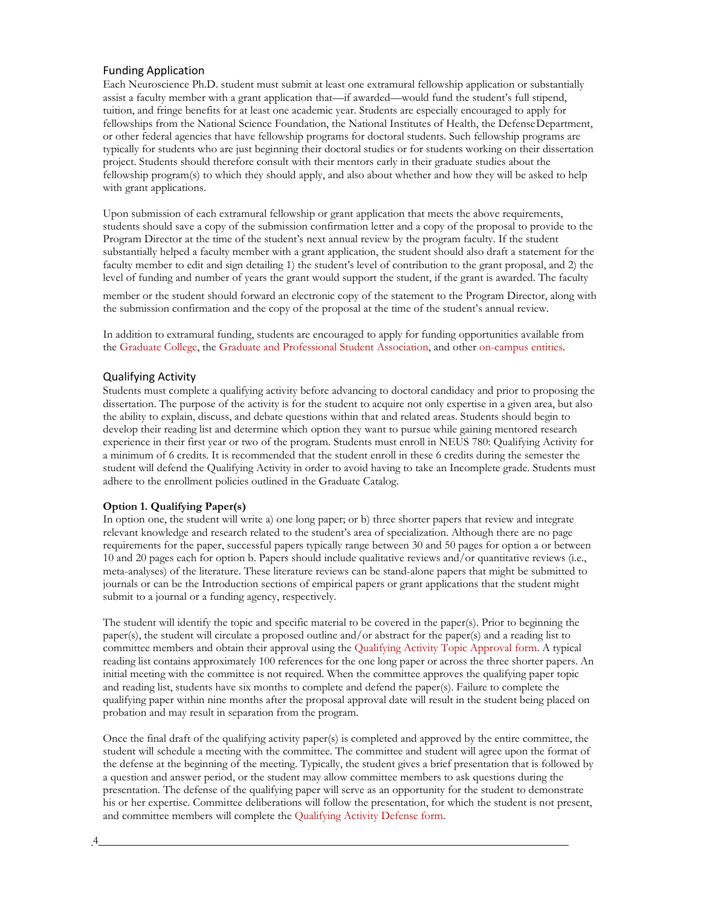#### Funding Application

Each Neuroscience Ph.D. student must submit at least one extramural fellowship application or substantially assist a faculty member with a grant application that—if awarded—would fund the student's full stipend, tuition, and fringe benefits for at least one academic year. Students are especially encouraged to apply for fellowships from the National Science Foundation, the National Institutes of Health, the Defense Department, or other federal agencies that have fellowship programs for doctoral students. Such fellowship programs are typically for students who are just beginning their doctoral studies or for students working on their dissertation project. Students should therefore consult with their mentors early in their graduate studies about the fellowship program(s) to which they should apply, and also about whether and how they will be asked to help with grant applications.

Upon submission of each extramural fellowship or grant application that meets the above requirements, students should save a copy of the submission confirmation letter and a copy of the proposal to provide to the Program Director at the time of the student's next annual review by the program faculty. If the student substantially helped a faculty member with a grant application, the student should also draft a statement for the faculty member to edit and sign detailing 1) the student's level of contribution to the grant proposal, and 2) the level of funding and number of years the grant would support the student, if the grant is awarded. The faculty

member or the student should forward an electronic copy of the statement to the Program Director, along with the submission confirmation and the copy of the proposal at the time of the student's annual review.

In addition to extramural funding, students are encouraged to apply for funding opportunities available from th[e Graduate College, t](https://www.unlv.edu/graduatecollege/scholarships)he [Graduate and Professional Student Association, a](https://www.unlv.edu/gpsa/sponsorship-awards)nd other [on-campus entities.](https://www.unlv.edu/graduatecollege/funding)

#### Qualifying Activity

Students must complete a qualifying activity before advancing to doctoral candidacy and prior to proposing the dissertation. The purpose of the activity is for the student to acquire not only expertise in a given area, but also the ability to explain, discuss, and debate questions within that and related areas. Students should begin to develop their reading list and determine which option they want to pursue while gaining mentored research experience in their first year or two of the program. Students must enroll in NEUS 780: Qualifying Activity for a minimum of 6 credits. It is recommended that the student enroll in these 6 credits during the semester the student will defend the Qualifying Activity in order to avoid having to take an Incomplete grade. Students must adhere to the enrollment policies outlined in the Graduate Catalog.

#### **Option 1. Qualifying Paper(s)**

In option one, the student will write a) one long paper; or b) three shorter papers that review and integrate relevant knowledge and research related to the student's area of specialization. Although there are no page requirements for the paper, successful papers typically range between 30 and 50 pages for option a or between 10 and 20 pages each for option b. Papers should include qualitative reviews and/or quantitative reviews (i.e., meta-analyses) of the literature. These literature reviews can be stand-alone papers that might be submitted to journals or can be the Introduction sections of empirical papers or grant applications that the student might submit to a journal or a funding agency, respectively.

The student will identify the topic and specific material to be covered in the paper(s). Prior to beginning the paper(s), the student will circulate a proposed outline and/or abstract for the paper(s) and a reading list to committee members and obtain their approval using the [Qualifying Activity Topic Approval form. A](https://www.unlv.edu/degree/phd-neuroscience) typical reading list contains approximately 100 references for the one long paper or across the three shorter papers. An initial meeting with the committee is not required. When the committee approves the qualifying paper topic and reading list, students have six months to complete and defend the paper(s). Failure to complete the qualifying paper within nine months after the proposal approval date will result in the student being placed on probation and may result in separation from the program.

Once the final draft of the qualifying activity paper(s) is completed and approved by the entire committee, the student will schedule a meeting with the committee. The committee and student will agree upon the format of the defense at the beginning of the meeting. Typically, the student gives a brief presentation that is followed by a question and answer period, or the student may allow committee members to ask questions during the presentation. The defense of the qualifying paper will serve as an opportunity for the student to demonstrate his or her expertise. Committee deliberations will follow the presentation, for which the student is not present, and committee members will complete the [Qualifying Activity Defense form.](https://www.unlv.edu/degree/phd-neuroscience)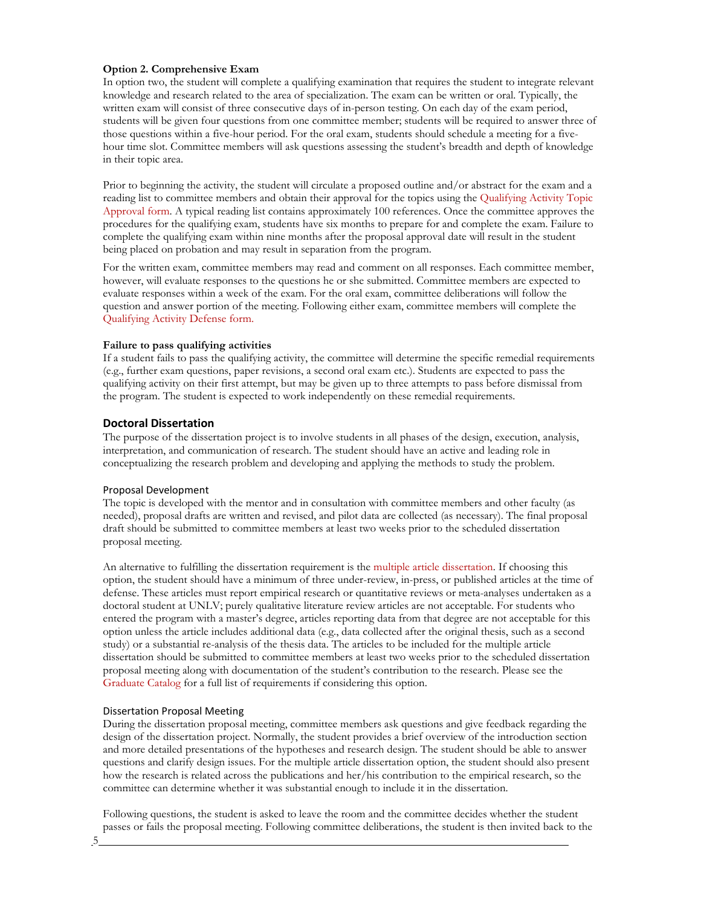### **Option 2. Comprehensive Exam**

In option two, the student will complete a qualifying examination that requires the student to integrate relevant knowledge and research related to the area of specialization. The exam can be written or oral. Typically, the written exam will consist of three consecutive days of in-person testing. On each day of the exam period, students will be given four questions from one committee member; students will be required to answer three of those questions within a five-hour period. For the oral exam, students should schedule a meeting for a fivehour time slot. Committee members will ask questions assessing the student's breadth and depth of knowledge in their topic area.

Prior to beginning the activity, the student will circulate a proposed outline and/or abstract for the exam and a reading list to committee members and obtain their approval for the topics using the [Qualifying Activity Topic](https://www.unlv.edu/degree/phd-neuroscience) [Approval form. A](https://www.unlv.edu/degree/phd-neuroscience) typical reading list contains approximately 100 references. Once the committee approves the procedures for the qualifying exam, students have six months to prepare for and complete the exam. Failure to complete the qualifying exam within nine months after the proposal approval date will result in the student being placed on probation and may result in separation from the program.

For the written exam, committee members may read and comment on all responses. Each committee member, however, will evaluate responses to the questions he or she submitted. Committee members are expected to evaluate responses within a week of the exam. For the oral exam, committee deliberations will follow the question and answer portion of the meeting. Following either exam, committee members will complete the [Qualifying Activity Defense form.](https://www.unlv.edu/degree/phd-neuroscience)

#### **Failure to pass qualifying activities**

If a student fails to pass the qualifying activity, the committee will determine the specific remedial requirements (e.g., further exam questions, paper revisions, a second oral exam etc.). Students are expected to pass the qualifying activity on their first attempt, but may be given up to three attempts to pass before dismissal from the program. The student is expected to work independently on these remedial requirements.

#### **Doctoral Dissertation**

The purpose of the dissertation project is to involve students in all phases of the design, execution, analysis, interpretation, and communication of research. The student should have an active and leading role in conceptualizing the research problem and developing and applying the methods to study the problem.

#### Proposal Development

The topic is developed with the mentor and in consultation with committee members and other faculty (as needed), proposal drafts are written and revised, and pilot data are collected (as necessary). The final proposal draft should be submitted to committee members at least two weeks prior to the scheduled dissertation proposal meeting.

An alternative to fulfilling the dissertation requirement is the [multiple article dissertation. I](https://catalog.unlv.edu/content.php?catoid=31&navoid=8319)f choosing this option, the student should have a minimum of three under-review, in-press, or published articles at the time of defense. These articles must report empirical research or quantitative reviews or meta-analyses undertaken as a doctoral student at UNLV; purely qualitative literature review articles are not acceptable. For students who entered the program with a master's degree, articles reporting data from that degree are not acceptable for this option unless the article includes additional data (e.g., data collected after the original thesis, such as a second study) or a substantial re-analysis of the thesis data. The articles to be included for the multiple article dissertation should be submitted to committee members at least two weeks prior to the scheduled dissertation proposal meeting along with documentation of the student's contribution to the research. Please see the [Graduate Catalog f](https://www.unlv.edu/graduatecollege/graduatecatalog)or a full list of requirements if considering this option.

#### Dissertation Proposal Meeting

During the dissertation proposal meeting, committee members ask questions and give feedback regarding the design of the dissertation project. Normally, the student provides a brief overview of the introduction section and more detailed presentations of the hypotheses and research design. The student should be able to answer questions and clarify design issues. For the multiple article dissertation option, the student should also present how the research is related across the publications and her/his contribution to the empirical research, so the committee can determine whether it was substantial enough to include it in the dissertation.

Following questions, the student is asked to leave the room and the committee decides whether the student passes or fails the proposal meeting. Following committee deliberations, the student is then invited back to the

5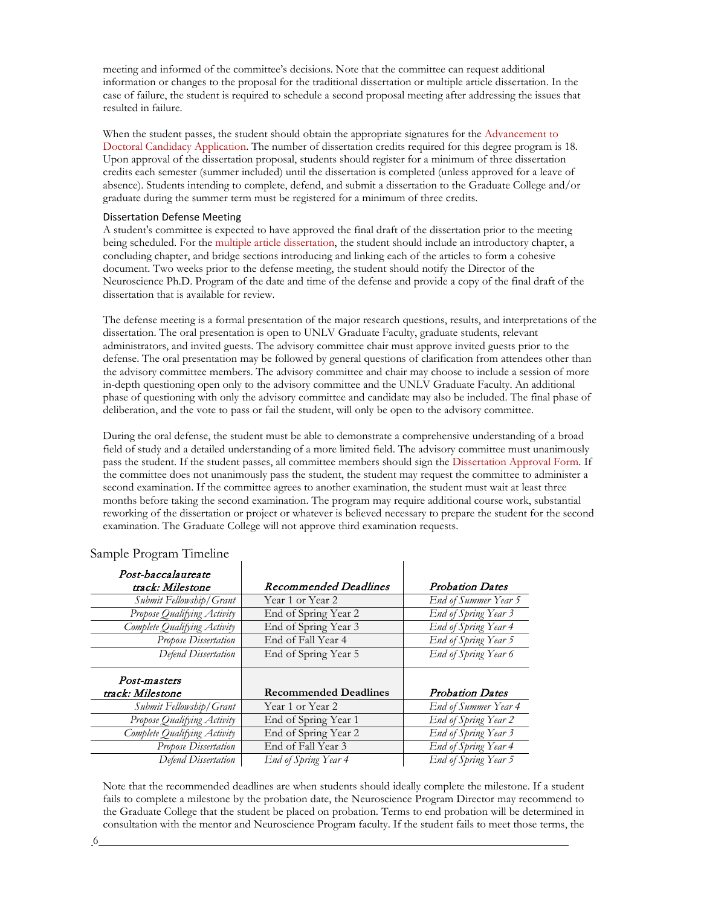meeting and informed of the committee's decisions. Note that the committee can request additional information or changes to the proposal for the traditional dissertation or multiple article dissertation. In the case of failure, the student is required to schedule a second proposal meeting after addressing the issues that resulted in failure.

When the student passes, the student should obtain the appropriate signatures for the [Advancement to](https://www.unlv.edu/graduatecollege/forms) [Doctoral Candidacy Application. T](https://www.unlv.edu/graduatecollege/forms)he number of dissertation credits required for this degree program is 18. Upon approval of the dissertation proposal, students should register for a minimum of three dissertation credits each semester (summer included) until the dissertation is completed (unless approved for a leave of absence). Students intending to complete, defend, and submit a dissertation to the Graduate College and/or graduate during the summer term must be registered for a minimum of three credits.

#### Dissertation Defense Meeting

A student's committee is expected to have approved the final draft of the dissertation prior to the meeting being scheduled. For the [multiple article dissertation, t](https://catalog.unlv.edu/content.php?catoid=31&navoid=8319)he student should include an introductory chapter, a concluding chapter, and bridge sections introducing and linking each of the articles to form a cohesive document. Two weeks prior to the defense meeting, the student should notify the Director of the Neuroscience Ph.D. Program of the date and time of the defense and provide a copy of the final draft of the dissertation that is available for review.

The defense meeting is a formal presentation of the major research questions, results, and interpretations of the dissertation. The oral presentation is open to UNLV Graduate Faculty, graduate students, relevant administrators, and invited guests. The advisory committee chair must approve invited guests prior to the defense. The oral presentation may be followed by general questions of clarification from attendees other than the advisory committee members. The advisory committee and chair may choose to include a session of more in-depth questioning open only to the advisory committee and the UNLV Graduate Faculty. An additional phase of questioning with only the advisory committee and candidate may also be included. The final phase of deliberation, and the vote to pass or fail the student, will only be open to the advisory committee.

During the oral defense, the student must be able to demonstrate a comprehensive understanding of a broad field of study and a detailed understanding of a more limited field. The advisory committee must unanimously pass the student. If the student passes, all committee members should sign the [Dissertation Approval Form. I](https://www.unlv.edu/graduatecollege/forms)f the committee does not unanimously pass the student, the student may request the committee to administer a second examination. If the committee agrees to another examination, the student must wait at least three months before taking the second examination. The program may require additional course work, substantial reworking of the dissertation or project or whatever is believed necessary to prepare the student for the second examination. The Graduate College will not approve third examination requests.

| Post-baccalaureate           |                              |                        |
|------------------------------|------------------------------|------------------------|
| track: Milestone             | <b>Recommended Deadlines</b> | <b>Probation Dates</b> |
| Submit Fellowship/Grant      | Year 1 or Year 2             | End of Summer Year 5   |
| Propose Qualifying Activity  | End of Spring Year 2         | End of Spring Year 3   |
| Complete Qualifying Activity | End of Spring Year 3         | End of Spring Year 4   |
| Propose Dissertation         | End of Fall Year 4           | End of Spring Year 5   |
| Defend Dissertation          | End of Spring Year 5         | End of Spring Year 6   |
|                              |                              |                        |
| Post-masters                 |                              |                        |
| track: Milestone             | <b>Recommended Deadlines</b> | <b>Probation Dates</b> |
| Submit Fellowship/Grant      | Year 1 or Year 2             | End of Summer Year 4   |
| Propose Qualifying Activity  | End of Spring Year 1         | End of Spring Year 2   |
| Complete Qualifying Activity | End of Spring Year 2         | End of Spring Year 3   |
| <b>Propose Dissertation</b>  | End of Fall Year 3           | End of Spring Year 4   |

#### Sample Program Timeline

Note that the recommended deadlines are when students should ideally complete the milestone. If a student fails to complete a milestone by the probation date, the Neuroscience Program Director may recommend to the Graduate College that the student be placed on probation. Terms to end probation will be determined in consultation with the mentor and Neuroscience Program faculty. If the student fails to meet those terms, the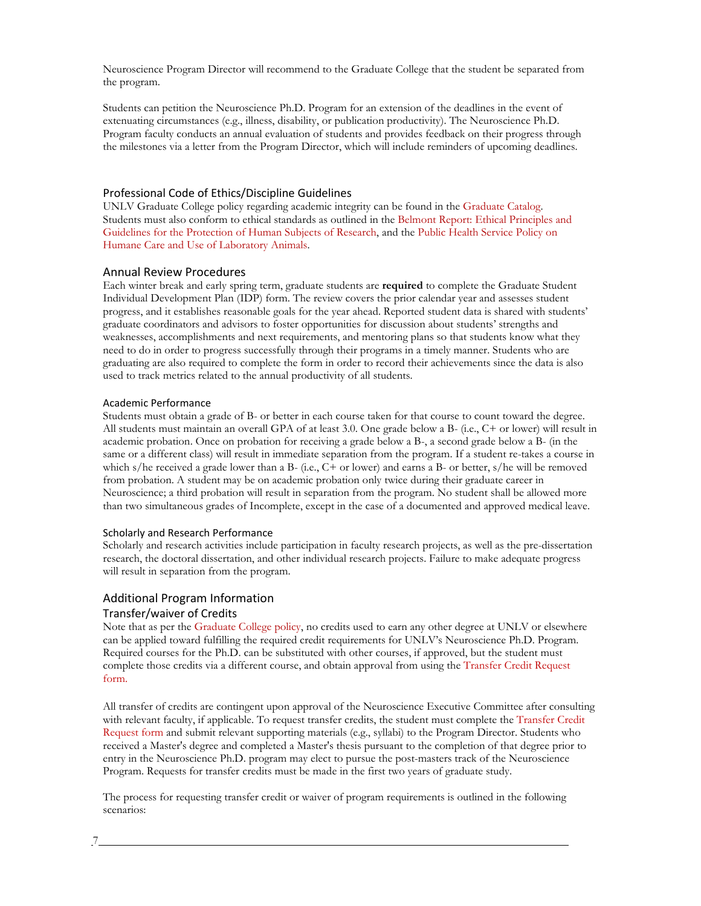Neuroscience Program Director will recommend to the Graduate College that the student be separated from the program.

Students can petition the Neuroscience Ph.D. Program for an extension of the deadlines in the event of extenuating circumstances (e.g., illness, disability, or publication productivity). The Neuroscience Ph.D. Program faculty conducts an annual evaluation of students and provides feedback on their progress through the milestones via a letter from the Program Director, which will include reminders of upcoming deadlines.

#### Professional Code of Ethics/Discipline Guidelines

UNLV Graduate College policy regarding academic integrity can be found in the [Graduate Catalog.](https://catalog.unlv.edu/content.php?catoid=31&navoid=8319) Students must also conform to ethical standards as outlined in the [Belmont Report: Ethical Principles and](https://www.hhs.gov/ohrp/regulations-and-policy/belmont-report/index.html) [Guidelines for the Protection of Human Subjects of Research, a](https://www.hhs.gov/ohrp/regulations-and-policy/belmont-report/index.html)nd the [Public Health Service Policy on](https://olaw.nih.gov/policies-laws/phs-policy.htm) [Humane Care and Use of Laboratory Animals.](https://olaw.nih.gov/policies-laws/phs-policy.htm)

#### Annual Review Procedures

Each winter break and early spring term, graduate students are **required** to complete the Graduate Student Individual Development Plan (IDP) form. The review covers the prior calendar year and assesses student progress, and it establishes reasonable goals for the year ahead. Reported student data is shared with students' graduate coordinators and advisors to foster opportunities for discussion about students' strengths and weaknesses, accomplishments and next requirements, and mentoring plans so that students know what they need to do in order to progress successfully through their programs in a timely manner. Students who are graduating are also required to complete the form in order to record their achievements since the data is also used to track metrics related to the annual productivity of all students.

#### Academic Performance

Students must obtain a grade of B- or better in each course taken for that course to count toward the degree. All students must maintain an overall GPA of at least 3.0. One grade below a B- (i.e., C+ or lower) will result in academic probation. Once on probation for receiving a grade below a B-, a second grade below a B- (in the same or a different class) will result in immediate separation from the program. If a student re-takes a course in which s/he received a grade lower than a B- (i.e., C+ or lower) and earns a B- or better, s/he will be removed from probation. A student may be on academic probation only twice during their graduate career in Neuroscience; a third probation will result in separation from the program. No student shall be allowed more than two simultaneous grades of Incomplete, except in the case of a documented and approved medical leave.

#### Scholarly and Research Performance

Scholarly and research activities include participation in faculty research projects, as well as the pre-dissertation research, the doctoral dissertation, and other individual research projects. Failure to make adequate progress will result in separation from the program.

# Additional Program Information

### Transfer/waiver of Credits

Note that as per the [Graduate College policy, n](https://catalog.unlv.edu/content.php?catoid=31&navoid=8319)o credits used to earn any other degree at UNLV or elsewhere can be applied toward fulfilling the required credit requirements for UNLV's Neuroscience Ph.D. Program. Required courses for the Ph.D. can be substituted with other courses, if approved, but the student must complete those credits via a different course, and obtain approval from using the [Transfer Credit Request](https://www.unlv.edu/graduatecollege/forms) [form.](https://www.unlv.edu/graduatecollege/forms)

All transfer of credits are contingent upon approval of the Neuroscience Executive Committee after consulting with relevant faculty, if applicable. To request transfer credits, the student must complete the [Transfer Credit](https://www.unlv.edu/graduatecollege/forms) [Request form a](https://www.unlv.edu/graduatecollege/forms)nd submit relevant supporting materials (e.g., syllabi) to the Program Director. Students who received a Master's degree and completed a Master's thesis pursuant to the completion of that degree prior to entry in the Neuroscience Ph.D. program may elect to pursue the post-masters track of the Neuroscience Program. Requests for transfer credits must be made in the first two years of graduate study.

The process for requesting transfer credit or waiver of program requirements is outlined in the following scenarios: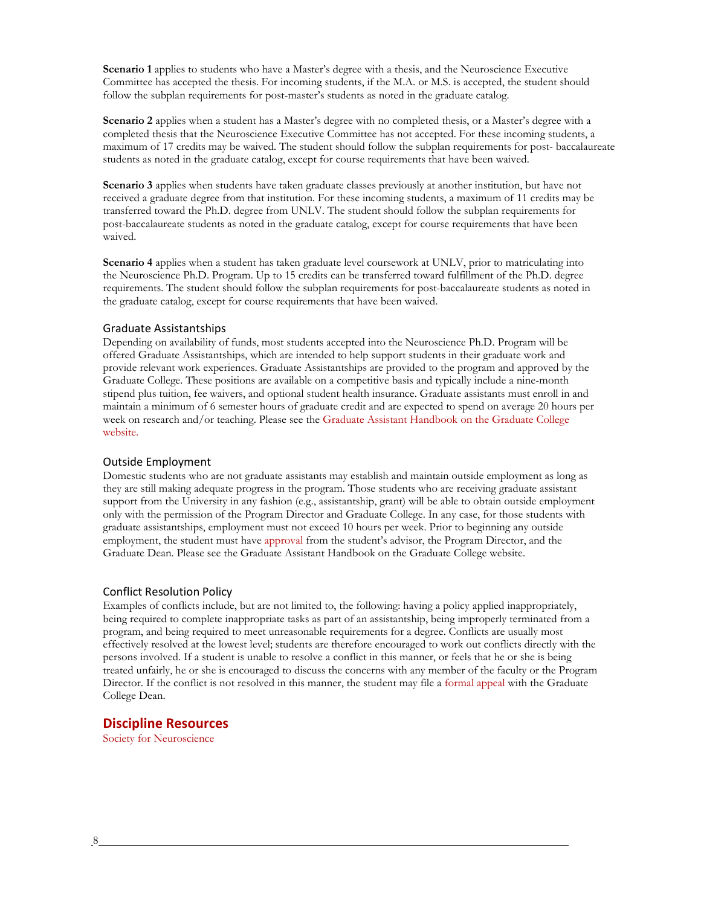**Scenario 1** applies to students who have a Master's degree with a thesis, and the Neuroscience Executive Committee has accepted the thesis. For incoming students, if the M.A. or M.S. is accepted, the student should follow the subplan requirements for post-master's students as noted in the graduate catalog.

**Scenario 2** applies when a student has a Master's degree with no completed thesis, or a Master's degree with a completed thesis that the Neuroscience Executive Committee has not accepted. For these incoming students, a maximum of 17 credits may be waived. The student should follow the subplan requirements for post- baccalaureate students as noted in the graduate catalog, except for course requirements that have been waived.

**Scenario 3** applies when students have taken graduate classes previously at another institution, but have not received a graduate degree from that institution. For these incoming students, a maximum of 11 credits may be transferred toward the Ph.D. degree from UNLV. The student should follow the subplan requirements for post-baccalaureate students as noted in the graduate catalog, except for course requirements that have been waived.

**Scenario 4** applies when a student has taken graduate level coursework at UNLV, prior to matriculating into the Neuroscience Ph.D. Program. Up to 15 credits can be transferred toward fulfillment of the Ph.D. degree requirements. The student should follow the subplan requirements for post-baccalaureate students as noted in the graduate catalog, except for course requirements that have been waived.

#### Graduate Assistantships

Depending on availability of funds, most students accepted into the Neuroscience Ph.D. Program will be offered Graduate Assistantships, which are intended to help support students in their graduate work and provide relevant work experiences. Graduate Assistantships are provided to the program and approved by the Graduate College. These positions are available on a competitive basis and typically include a nine-month stipend plus tuition, fee waivers, and optional student health insurance. Graduate assistants must enroll in and maintain a minimum of 6 semester hours of graduate credit and are expected to spend on average 20 hours per week on research and/or teaching. Please see the [Graduate Assistant Handbook on the Graduate College](https://www.unlv.edu/graduatecollege/ga) [website.](https://www.unlv.edu/graduatecollege/ga)

#### Outside Employment

Domestic students who are not graduate assistants may establish and maintain outside employment as long as they are still making adequate progress in the program. Those students who are receiving graduate assistant support from the University in any fashion (e.g., assistantship, grant) will be able to obtain outside employment only with the permission of the Program Director and Graduate College. In any case, for those students with graduate assistantships, employment must not exceed 10 hours per week. Prior to beginning any outside employment, the student must have [approval f](https://www.unlv.edu/graduatecollege/forms)rom the student's advisor, the Program Director, and the Graduate Dean. Please see the Graduate Assistant Handbook on the Graduate College website.

#### Conflict Resolution Policy

Examples of conflicts include, but are not limited to, the following: having a policy applied inappropriately, being required to complete inappropriate tasks as part of an assistantship, being improperly terminated from a program, and being required to meet unreasonable requirements for a degree. Conflicts are usually most effectively resolved at the lowest level; students are therefore encouraged to work out conflicts directly with the persons involved. If a student is unable to resolve a conflict in this manner, or feels that he or she is being treated unfairly, he or she is encouraged to discuss the concerns with any member of the faculty or the Program Director. If the conflict is not resolved in this manner, the student may file a [formal appeal](https://www.unlv.edu/graduatecollege/forms) with the Graduate College Dean.

### **Discipline Resources**

[Society for Neuroscience](https://www.sfn.org/)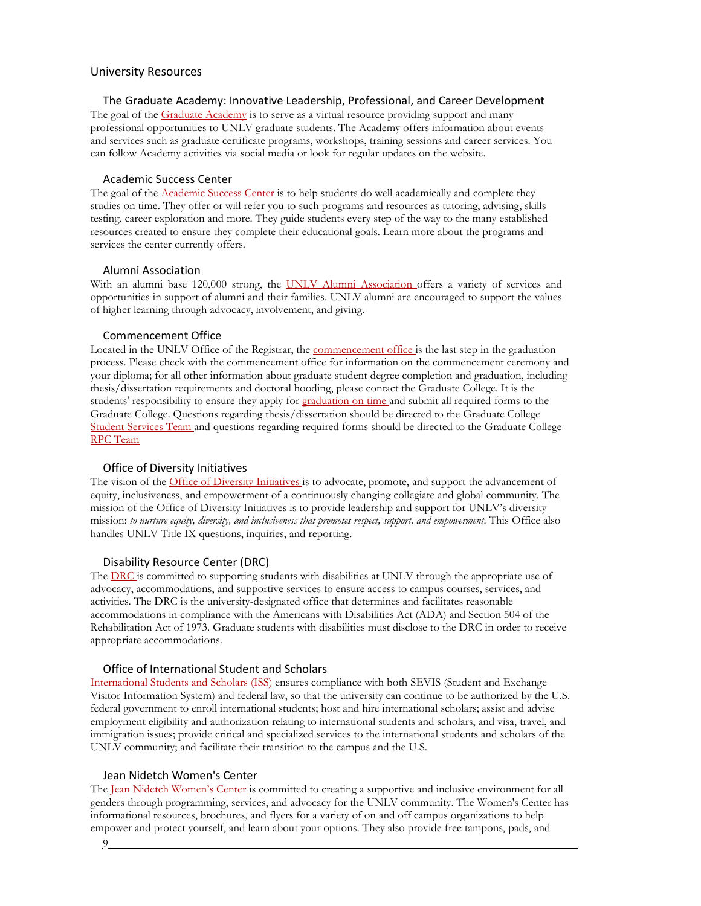#### University Resources

#### The Graduate Academy: Innovative Leadership, Professional, and Career Development

The goal of the [Graduate Academy](https://www.unlv.edu/graduatecollege/academy) is to serve as a virtual resource providing support and many professional opportunities to UNLV graduate students. The Academy offers information about events and services such as graduate certificate programs, workshops, training sessions and career services. You can follow Academy activities via social media or look for regular updates on the website.

#### Academic Success Center

The goal of the **Academic Success Center** is to help students do well academically and complete they studies on time. They offer or will refer you to such programs and resources as tutoring, advising, skills testing, career exploration and more. They guide students every step of the way to the many established resources created to ensure they complete their educational goals. Learn more about the programs and services the center currently offers.

#### Alumni Association

With an alumni base 120,000 strong, the [UNLV Alumni Association o](https://www.unlv.edu/about-alumni)ffers a variety of services and opportunities in support of alumni and their families. UNLV alumni are encouraged to support the values of higher learning through advocacy, involvement, and giving.

#### Commencement Office

Located in the UNLV Office of the Registrar, the [commencement office i](http://www.unlv.edu/commencement)s the last step in the graduation process. Please check with the commencement office for information on the commencement ceremony and your diploma; for all other information about graduate student degree completion and graduation, including thesis/dissertation requirements and doctoral hooding, please contact the Graduate College. It is the students' responsibility to ensure they apply for [graduation on](https://www.unlv.edu/graduatecollege/graduation-deadlines) [time a](https://www.unlv.edu/graduatecollege/graduation-deadlines)nd submit all required forms to the Graduate College. Questions regarding thesis/dissertation should be directed to the Graduate College [Student Services Team a](https://www.unlv.edu/graduatecollege/thesis)nd questions regarding required forms should be directed to the Graduate College [RPC Team](https://www.unlv.edu/graduatecollege/current)

#### Office of Diversity Initiatives

The vision of the [Office of Diversity Initiatives is](http://www.unlv.edu/diversityinitiatives) to advocate, promote, and support the advancement of equity, inclusiveness, and empowerment of a continuously changing collegiate and global community. The mission of the Office of Diversity Initiatives is to provide leadership and support for UNLV's diversity mission: *to nurture equity, diversity, and inclusiveness that promotes respect, support, and empowerment*. This Office also handles UNLV Title IX questions, inquiries, and reporting.

#### Disability Resource Center (DRC)

The [DRC is](http://drc.unlv.edu/) committed to supporting students with disabilities at UNLV through the appropriate use of advocacy, accommodations, and supportive services to ensure access to campus courses, services, and activities. The DRC is the university-designated office that determines and facilitates reasonable accommodations in compliance with the Americans with Disabilities Act (ADA) and Section 504 of the Rehabilitation Act of 1973. Graduate students with disabilities must disclose to the DRC in order to receive appropriate accommodations.

#### Office of International Student and Scholars

[International Students and Scholars \(ISS\) e](http://www.unlv.edu/iss)nsures compliance with both SEVIS (Student and Exchange Visitor Information System) and federal law, so that the university can continue to be authorized by the U.S. federal government to enroll international students; host and hire international scholars; assist and advise employment eligibility and authorization relating to international students and scholars, and visa, travel, and immigration issues; provide critical and specialized services to the international students and scholars of the UNLV community; and facilitate their transition to the campus and the U.S.

#### Jean Nidetch Women's Center

The <u>Jean Nidetch Women's Center</u> is committed to creating a supportive and inclusive environment for all genders through programming, services, and advocacy for the UNLV community. The Women's Center has informational resources, brochures, and flyers for a variety of on and off campus organizations to help empower and protect yourself, and learn about your options. They also provide free tampons, pads, and

9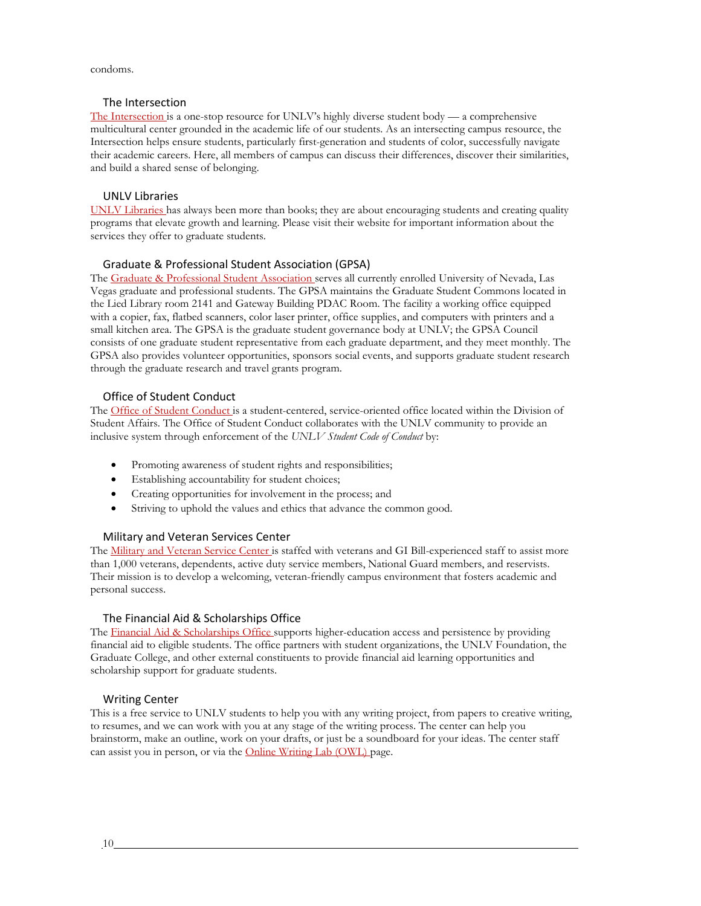condoms.

#### The Intersection

[The Intersection i](https://www.unlv.edu/intersection)s a one-stop resource for UNLV's highly diverse student body — a comprehensive multicultural center grounded in the academic life of our students. As an intersecting campus resource, the Intersection helps ensure students, particularly first-generation and students of color, successfully navigate their academic careers. Here, all members of campus can discuss their differences, discover their similarities, and build a shared sense of belonging.

#### UNLV Libraries

[UNLV Libraries h](http://www.library.unlv.edu/)as always been more than books; they are about encouraging students and creating quality programs that elevate growth and learning. Please visit their website for important information about the services they offer to graduate students.

#### Graduate & Professional Student Association (GPSA)

The [Graduate & Professional Student Association s](http://www.unlv.edu/gpsa)erves all currently enrolled University of Nevada, Las Vegas graduate and professional students. The GPSA maintains the Graduate Student Commons located in the Lied Library room 2141 and Gateway Building PDAC Room. The facility a working office equipped with a copier, fax, flatbed scanners, color laser printer, office supplies, and computers with printers and a small kitchen area. The GPSA is the graduate student governance body at UNLV; the GPSA Council consists of one graduate student representative from each graduate department, and they meet monthly. The GPSA also provides volunteer opportunities, sponsors social events, and supports graduate student research through the graduate research and travel grants program.

#### Office of Student Conduct

The [Office of Student Conduct is](http://studentconduct.unlv.edu/) a student-centered, service-oriented office located within the Division of Student Affairs. The Office of Student Conduct collaborates with the UNLV community to provide an inclusive system through enforcement of the *UNLV Student Code of Conduct* by:

- Promoting awareness of student rights and responsibilities;
- Establishing accountability for student choices;
- Creating opportunities for involvement in the process; and
- Striving to uphold the values and ethics that advance the common good.

#### Military and Veteran Services Center

The [Military and Veteran Service Center is](https://www.unlv.edu/veterans) staffed with veterans and GI Bill-experienced staff to assist more than 1,000 veterans, dependents, active duty service members, National Guard members, and reservists. Their mission is to develop a welcoming, veteran-friendly campus environment that fosters academic and personal success.

#### The Financial Aid & Scholarships Office

The [Financial Aid & Scholarships Office s](http://www.unlv.edu/finaid)upports higher-education access and persistence by providing financial aid to eligible students. The office partners with student organizations, the UNLV Foundation, the Graduate College, and other external constituents to provide financial aid learning opportunities and scholarship support for graduate students.

#### Writing Center

This is a free service to UNLV students to help you with any writing project, from papers to creative writing, to resumes, and we can work with you at any stage of the writing process. The center can help you brainstorm, make an outline, work on your drafts, or just be a soundboard for your ideas. The center staff can assist you in person, or via the [Online Writing Lab \(OWL\) p](http://writingcenter.unlv.edu/)age.